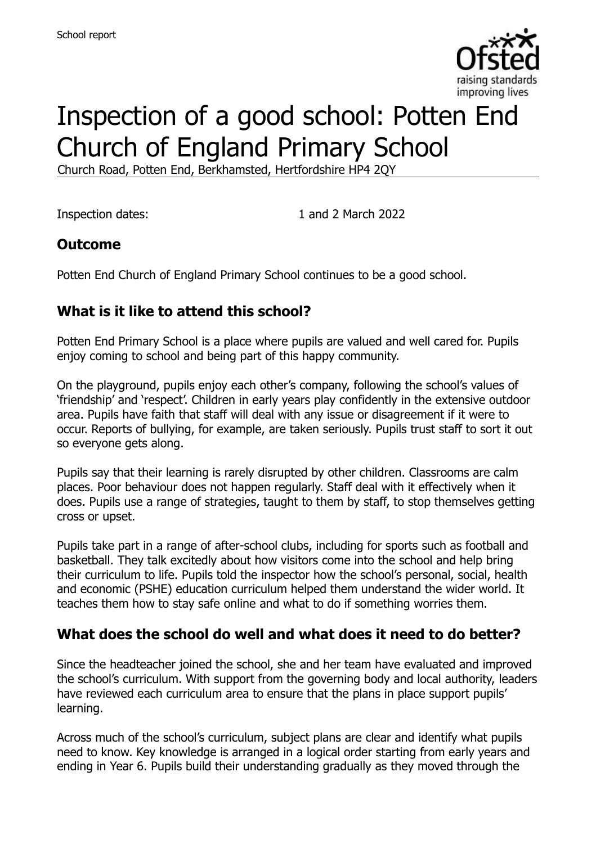

# Inspection of a good school: Potten End Church of England Primary School

Church Road, Potten End, Berkhamsted, Hertfordshire HP4 2QY

Inspection dates: 1 and 2 March 2022

#### **Outcome**

Potten End Church of England Primary School continues to be a good school.

## **What is it like to attend this school?**

Potten End Primary School is a place where pupils are valued and well cared for. Pupils enjoy coming to school and being part of this happy community.

On the playground, pupils enjoy each other's company, following the school's values of 'friendship' and 'respect'. Children in early years play confidently in the extensive outdoor area. Pupils have faith that staff will deal with any issue or disagreement if it were to occur. Reports of bullying, for example, are taken seriously. Pupils trust staff to sort it out so everyone gets along.

Pupils say that their learning is rarely disrupted by other children. Classrooms are calm places. Poor behaviour does not happen regularly. Staff deal with it effectively when it does. Pupils use a range of strategies, taught to them by staff, to stop themselves getting cross or upset.

Pupils take part in a range of after-school clubs, including for sports such as football and basketball. They talk excitedly about how visitors come into the school and help bring their curriculum to life. Pupils told the inspector how the school's personal, social, health and economic (PSHE) education curriculum helped them understand the wider world. It teaches them how to stay safe online and what to do if something worries them.

#### **What does the school do well and what does it need to do better?**

Since the headteacher joined the school, she and her team have evaluated and improved the school's curriculum. With support from the governing body and local authority, leaders have reviewed each curriculum area to ensure that the plans in place support pupils' learning.

Across much of the school's curriculum, subject plans are clear and identify what pupils need to know. Key knowledge is arranged in a logical order starting from early years and ending in Year 6. Pupils build their understanding gradually as they moved through the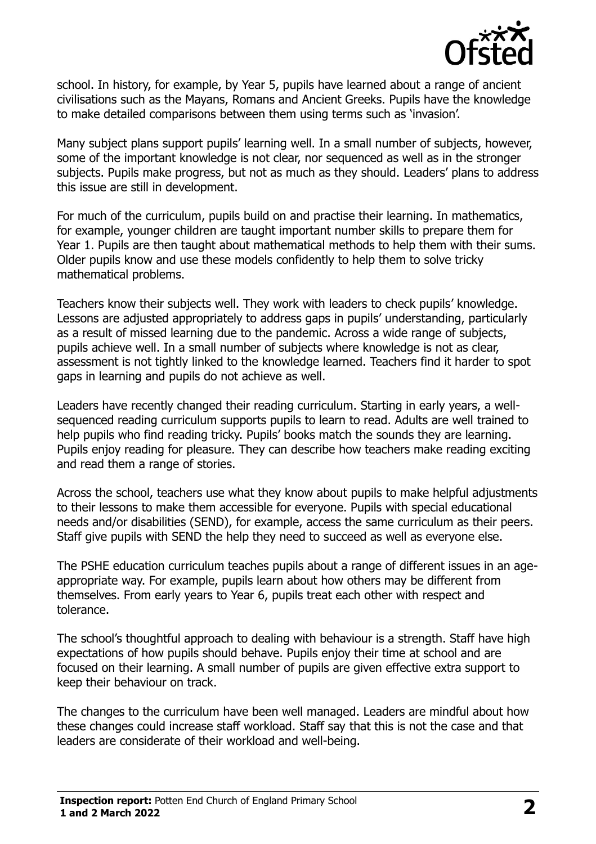

school. In history, for example, by Year 5, pupils have learned about a range of ancient civilisations such as the Mayans, Romans and Ancient Greeks. Pupils have the knowledge to make detailed comparisons between them using terms such as 'invasion'.

Many subject plans support pupils' learning well. In a small number of subjects, however, some of the important knowledge is not clear, nor sequenced as well as in the stronger subjects. Pupils make progress, but not as much as they should. Leaders' plans to address this issue are still in development.

For much of the curriculum, pupils build on and practise their learning. In mathematics, for example, younger children are taught important number skills to prepare them for Year 1. Pupils are then taught about mathematical methods to help them with their sums. Older pupils know and use these models confidently to help them to solve tricky mathematical problems.

Teachers know their subjects well. They work with leaders to check pupils' knowledge. Lessons are adjusted appropriately to address gaps in pupils' understanding, particularly as a result of missed learning due to the pandemic. Across a wide range of subjects, pupils achieve well. In a small number of subjects where knowledge is not as clear, assessment is not tightly linked to the knowledge learned. Teachers find it harder to spot gaps in learning and pupils do not achieve as well.

Leaders have recently changed their reading curriculum. Starting in early years, a wellsequenced reading curriculum supports pupils to learn to read. Adults are well trained to help pupils who find reading tricky. Pupils' books match the sounds they are learning. Pupils enjoy reading for pleasure. They can describe how teachers make reading exciting and read them a range of stories.

Across the school, teachers use what they know about pupils to make helpful adjustments to their lessons to make them accessible for everyone. Pupils with special educational needs and/or disabilities (SEND), for example, access the same curriculum as their peers. Staff give pupils with SEND the help they need to succeed as well as everyone else.

The PSHE education curriculum teaches pupils about a range of different issues in an ageappropriate way. For example, pupils learn about how others may be different from themselves. From early years to Year 6, pupils treat each other with respect and tolerance.

The school's thoughtful approach to dealing with behaviour is a strength. Staff have high expectations of how pupils should behave. Pupils enjoy their time at school and are focused on their learning. A small number of pupils are given effective extra support to keep their behaviour on track.

The changes to the curriculum have been well managed. Leaders are mindful about how these changes could increase staff workload. Staff say that this is not the case and that leaders are considerate of their workload and well-being.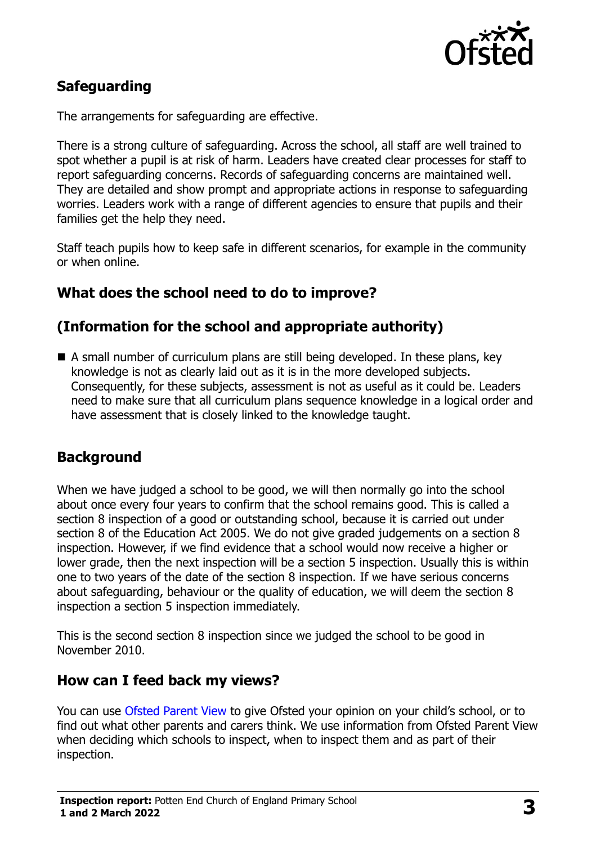

# **Safeguarding**

The arrangements for safeguarding are effective.

There is a strong culture of safeguarding. Across the school, all staff are well trained to spot whether a pupil is at risk of harm. Leaders have created clear processes for staff to report safeguarding concerns. Records of safeguarding concerns are maintained well. They are detailed and show prompt and appropriate actions in response to safeguarding worries. Leaders work with a range of different agencies to ensure that pupils and their families get the help they need.

Staff teach pupils how to keep safe in different scenarios, for example in the community or when online.

## **What does the school need to do to improve?**

# **(Information for the school and appropriate authority)**

 A small number of curriculum plans are still being developed. In these plans, key knowledge is not as clearly laid out as it is in the more developed subjects. Consequently, for these subjects, assessment is not as useful as it could be. Leaders need to make sure that all curriculum plans sequence knowledge in a logical order and have assessment that is closely linked to the knowledge taught.

# **Background**

When we have judged a school to be good, we will then normally go into the school about once every four years to confirm that the school remains good. This is called a section 8 inspection of a good or outstanding school, because it is carried out under section 8 of the Education Act 2005. We do not give graded judgements on a section 8 inspection. However, if we find evidence that a school would now receive a higher or lower grade, then the next inspection will be a section 5 inspection. Usually this is within one to two years of the date of the section 8 inspection. If we have serious concerns about safeguarding, behaviour or the quality of education, we will deem the section 8 inspection a section 5 inspection immediately.

This is the second section 8 inspection since we judged the school to be good in November 2010.

#### **How can I feed back my views?**

You can use [Ofsted Parent View](https://parentview.ofsted.gov.uk/) to give Ofsted your opinion on your child's school, or to find out what other parents and carers think. We use information from Ofsted Parent View when deciding which schools to inspect, when to inspect them and as part of their inspection.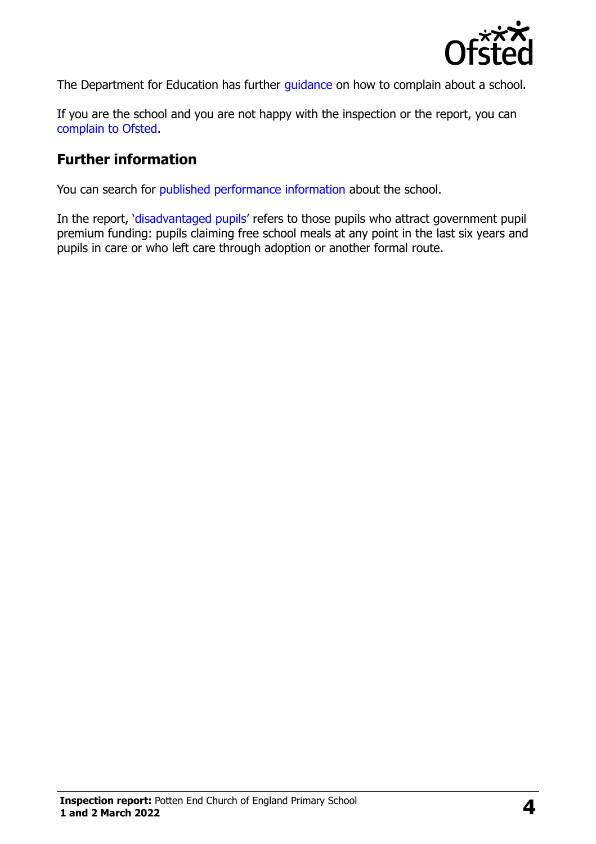

The Department for Education has further quidance on how to complain about a school.

If you are the school and you are not happy with the inspection or the report, you can [complain to Ofsted.](https://www.gov.uk/complain-ofsted-report)

#### **Further information**

You can search for [published performance information](http://www.compare-school-performance.service.gov.uk/) about the school.

In the report, '[disadvantaged pupils](http://www.gov.uk/guidance/pupil-premium-information-for-schools-and-alternative-provision-settings)' refers to those pupils who attract government pupil premium funding: pupils claiming free school meals at any point in the last six years and pupils in care or who left care through adoption or another formal route.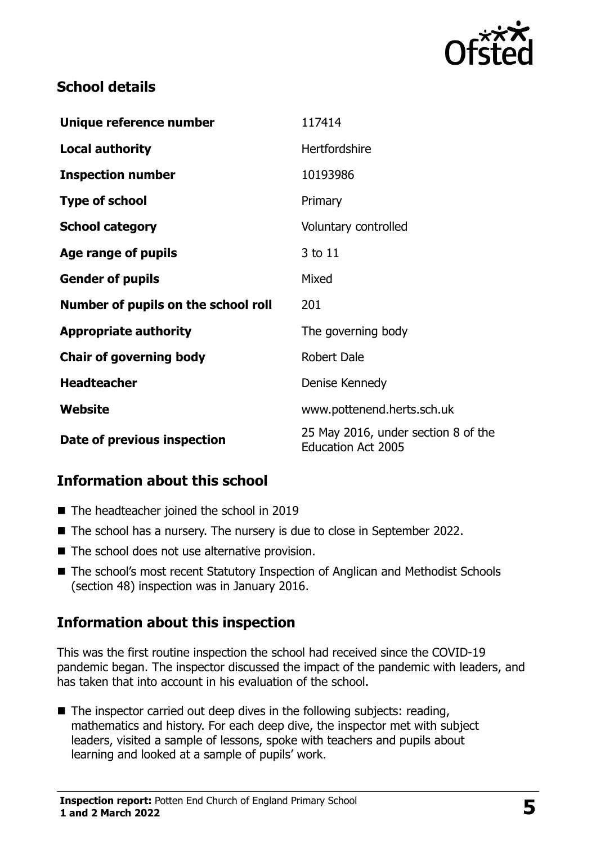

## **School details**

| Unique reference number             | 117414                                                           |
|-------------------------------------|------------------------------------------------------------------|
| <b>Local authority</b>              | <b>Hertfordshire</b>                                             |
| <b>Inspection number</b>            | 10193986                                                         |
| <b>Type of school</b>               | Primary                                                          |
| <b>School category</b>              | Voluntary controlled                                             |
| Age range of pupils                 | 3 to 11                                                          |
| <b>Gender of pupils</b>             | Mixed                                                            |
| Number of pupils on the school roll | 201                                                              |
| <b>Appropriate authority</b>        | The governing body                                               |
| <b>Chair of governing body</b>      | <b>Robert Dale</b>                                               |
| <b>Headteacher</b>                  | Denise Kennedy                                                   |
| Website                             | www.pottenend.herts.sch.uk                                       |
| Date of previous inspection         | 25 May 2016, under section 8 of the<br><b>Education Act 2005</b> |

# **Information about this school**

- The headteacher joined the school in 2019
- The school has a nursery. The nursery is due to close in September 2022.
- The school does not use alternative provision.
- The school's most recent Statutory Inspection of Anglican and Methodist Schools (section 48) inspection was in January 2016.

#### **Information about this inspection**

This was the first routine inspection the school had received since the COVID-19 pandemic began. The inspector discussed the impact of the pandemic with leaders, and has taken that into account in his evaluation of the school.

 $\blacksquare$  The inspector carried out deep dives in the following subjects: reading, mathematics and history. For each deep dive, the inspector met with subject leaders, visited a sample of lessons, spoke with teachers and pupils about learning and looked at a sample of pupils' work.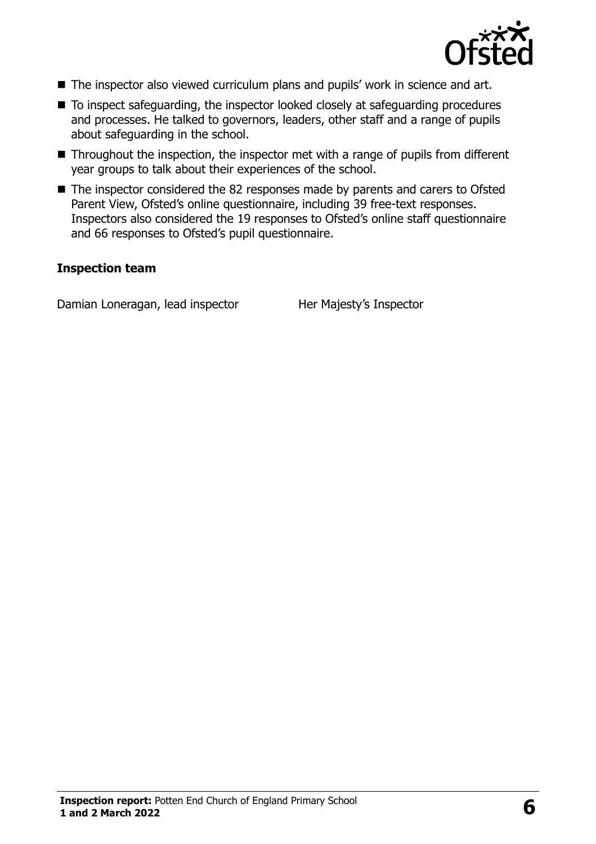

- The inspector also viewed curriculum plans and pupils' work in science and art.
- To inspect safeguarding, the inspector looked closely at safeguarding procedures and processes. He talked to governors, leaders, other staff and a range of pupils about safeguarding in the school.
- Throughout the inspection, the inspector met with a range of pupils from different year groups to talk about their experiences of the school.
- The inspector considered the 82 responses made by parents and carers to Ofsted Parent View, Ofsted's online questionnaire, including 39 free-text responses. Inspectors also considered the 19 responses to Ofsted's online staff questionnaire and 66 responses to Ofsted's pupil questionnaire.

#### **Inspection team**

Damian Loneragan, lead inspector Her Majesty's Inspector